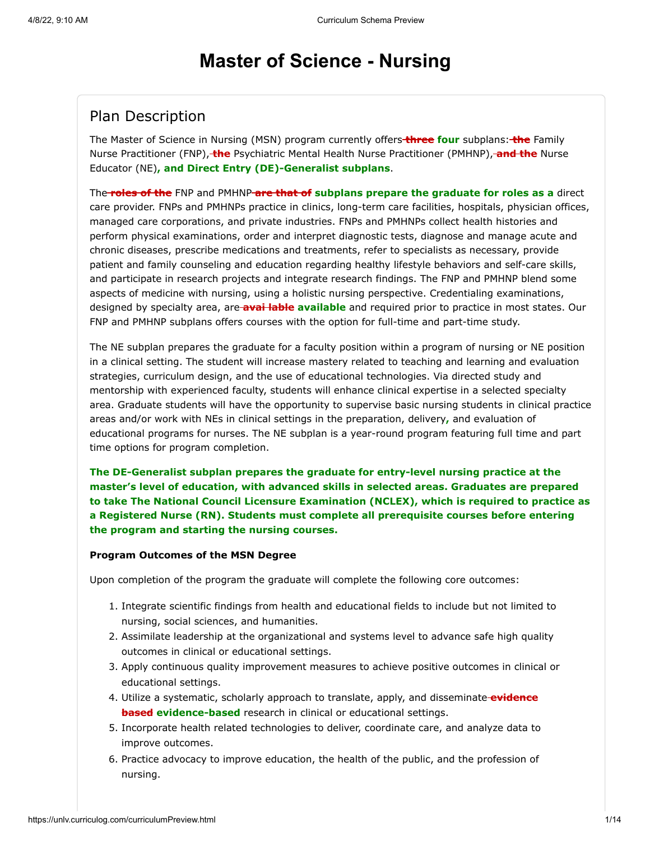# **Master of Science - Nursing**

# Plan Description

The Master of Science in Nursing (MSN) program currently offers **three four** subplans: **the** Family Nurse Practitioner (FNP), **the** Psychiatric Mental Health Nurse Practitioner (PMHNP), **and the** Nurse Educator (NE)**, and Direct Entry (DE)-Generalist subplans**.

The **roles of the** FNP and PMHNP **are that of subplans prepare the graduate for roles as a** direct care provider. FNPs and PMHNPs practice in clinics, long-term care facilities, hospitals, physician offices, managed care corporations, and private industries. FNPs and PMHNPs collect health histories and perform physical examinations, order and interpret diagnostic tests, diagnose and manage acute and chronic diseases, prescribe medications and treatments, refer to specialists as necessary, provide patient and family counseling and education regarding healthy lifestyle behaviors and self-care skills, and participate in research projects and integrate research findings. The FNP and PMHNP blend some aspects of medicine with nursing, using a holistic nursing perspective. Credentialing examinations, designed by specialty area, are **avai lable available** and required prior to practice in most states. Our FNP and PMHNP subplans offers courses with the option for full-time and part-time study.

The NE subplan prepares the graduate for a faculty position within a program of nursing or NE position in a clinical setting. The student will increase mastery related to teaching and learning and evaluation strategies, curriculum design, and the use of educational technologies. Via directed study and mentorship with experienced faculty, students will enhance clinical expertise in a selected specialty area. Graduate students will have the opportunity to supervise basic nursing students in clinical practice areas and/or work with NEs in clinical settings in the preparation, delivery**,** and evaluation of educational programs for nurses. The NE subplan is a year-round program featuring full time and part time options for program completion.

**The DE-Generalist subplan prepares the graduate for entry-level nursing practice at the master's level of education, with advanced skills in selected areas. Graduates are prepared to take The National Council Licensure Examination (NCLEX), which is required to practice as a Registered Nurse (RN). Students must complete all prerequisite courses before entering the program and starting the nursing courses.**

#### **Program Outcomes of the MSN Degree**

Upon completion of the program the graduate will complete the following core outcomes:

- 1. Integrate scientific findings from health and educational fields to include but not limited to nursing, social sciences, and humanities.
- 2. Assimilate leadership at the organizational and systems level to advance safe high quality outcomes in clinical or educational settings.
- 3. Apply continuous quality improvement measures to achieve positive outcomes in clinical or educational settings.
- 4. Utilize a systematic, scholarly approach to translate, apply, and disseminate **evidence based evidence-based** research in clinical or educational settings.
- 5. Incorporate health related technologies to deliver, coordinate care, and analyze data to improve outcomes.
- 6. Practice advocacy to improve education, the health of the public, and the profession of nursing.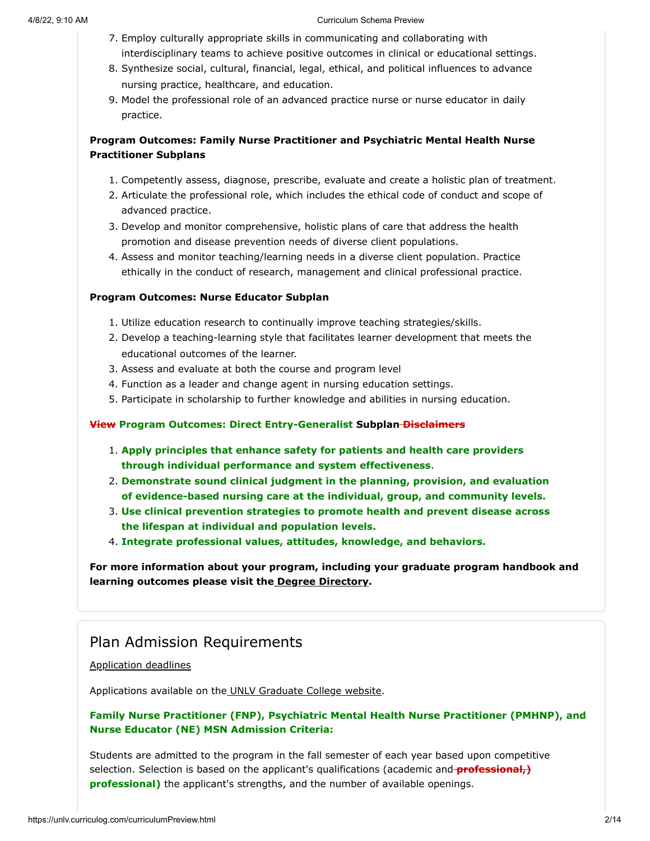- 7. Employ culturally appropriate skills in communicating and collaborating with interdisciplinary teams to achieve positive outcomes in clinical or educational settings.
- 8. Synthesize social, cultural, financial, legal, ethical, and political influences to advance nursing practice, healthcare, and education.
- 9. Model the professional role of an advanced practice nurse or nurse educator in daily practice.

#### **Program Outcomes: Family Nurse Practitioner and Psychiatric Mental Health Nurse Practitioner Subplans**

- 1. Competently assess, diagnose, prescribe, evaluate and create a holistic plan of treatment.
- 2. Articulate the professional role, which includes the ethical code of conduct and scope of advanced practice.
- 3. Develop and monitor comprehensive, holistic plans of care that address the health promotion and disease prevention needs of diverse client populations.
- 4. Assess and monitor teaching/learning needs in a diverse client population. Practice ethically in the conduct of research, management and clinical professional practice.

#### **Program Outcomes: Nurse Educator Subplan**

- 1. Utilize education research to continually improve teaching strategies/skills.
- 2. Develop a teaching-learning style that facilitates learner development that meets the educational outcomes of the learner.
- 3. Assess and evaluate at both the course and program level
- 4. Function as a leader and change agent in nursing education settings.
- 5. Participate in scholarship to further knowledge and abilities in nursing education.

#### **View Program Outcomes: Direct Entry-Generalist Subplan Disclaimers**

- 1. **Apply principles that enhance safety for patients and health care providers through individual performance and system effectiveness**.
- 2. **Demonstrate sound clinical judgment in the planning, provision, and evaluation of evidence-based nursing care at the individual, group, and community levels.**
- 3. **Use clinical prevention strategies to promote health and prevent disease across the lifespan at individual and population levels.**
- 4. **Integrate professional values, attitudes, knowledge, and behaviors.**

**For more information about your program, including your graduate program handbook and learning outcomes please visit the [Degree Directory](https://www.unlv.edu/degree/msn).**

# Plan Admission Requirements

#### [Application deadlines](http://www.unlv.edu/graduatecollege/application-deadlines)

Applications available on th[e UNLV Graduate College website.](http://graduatecollege.unlv.edu/admissions/)

#### **Family Nurse Practitioner (FNP), Psychiatric Mental Health Nurse Practitioner (PMHNP), and Nurse Educator (NE) MSN Admission Criteria:**

Students are admitted to the program in the fall semester of each year based upon competitive selection. Selection is based on the applicant's qualifications (academic and **professional,) professional)** the applicant's strengths, and the number of available openings.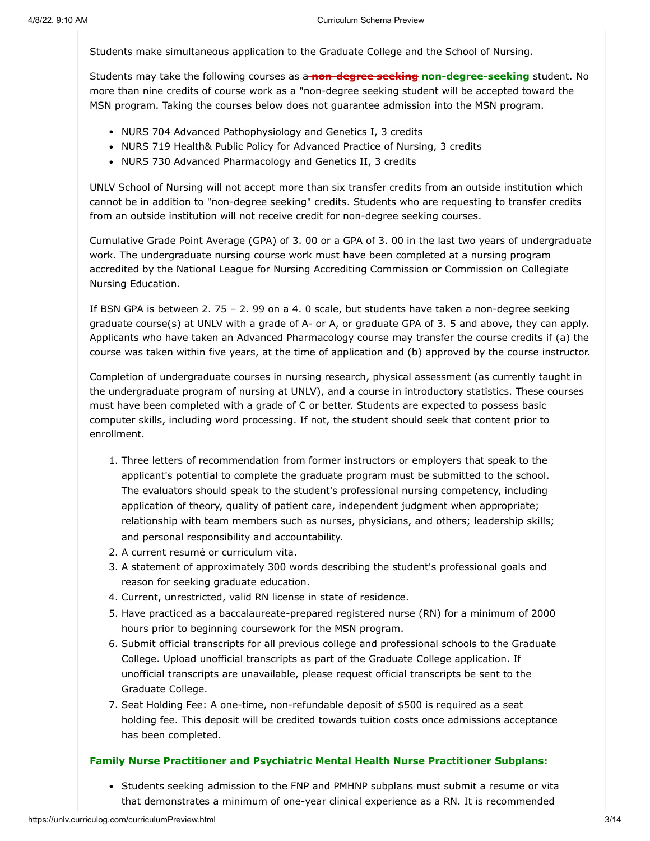Students make simultaneous application to the Graduate College and the School of Nursing.

Students may take the following courses as a **non-degree seeking non-degree-seeking** student. No more than nine credits of course work as a "non-degree seeking student will be accepted toward the MSN program. Taking the courses below does not guarantee admission into the MSN program.

- NURS 704 Advanced Pathophysiology and Genetics I, 3 credits
- NURS 719 Health& Public Policy for Advanced Practice of Nursing, 3 credits
- NURS 730 Advanced Pharmacology and Genetics II, 3 credits

UNLV School of Nursing will not accept more than six transfer credits from an outside institution which cannot be in addition to "non-degree seeking" credits. Students who are requesting to transfer credits from an outside institution will not receive credit for non-degree seeking courses.

Cumulative Grade Point Average (GPA) of 3. 00 or a GPA of 3. 00 in the last two years of undergraduate work. The undergraduate nursing course work must have been completed at a nursing program accredited by the National League for Nursing Accrediting Commission or Commission on Collegiate Nursing Education.

If BSN GPA is between 2. 75 – 2. 99 on a 4. 0 scale, but students have taken a non-degree seeking graduate course(s) at UNLV with a grade of A- or A, or graduate GPA of 3. 5 and above, they can apply. Applicants who have taken an Advanced Pharmacology course may transfer the course credits if (a) the course was taken within five years, at the time of application and (b) approved by the course instructor.

Completion of undergraduate courses in nursing research, physical assessment (as currently taught in the undergraduate program of nursing at UNLV), and a course in introductory statistics. These courses must have been completed with a grade of C or better. Students are expected to possess basic computer skills, including word processing. If not, the student should seek that content prior to enrollment.

- 1. Three letters of recommendation from former instructors or employers that speak to the applicant's potential to complete the graduate program must be submitted to the school. The evaluators should speak to the student's professional nursing competency, including application of theory, quality of patient care, independent judgment when appropriate; relationship with team members such as nurses, physicians, and others; leadership skills; and personal responsibility and accountability.
- 2. A current resumé or curriculum vita.
- 3. A statement of approximately 300 words describing the student's professional goals and reason for seeking graduate education.
- 4. Current, unrestricted, valid RN license in state of residence.
- 5. Have practiced as a baccalaureate-prepared registered nurse (RN) for a minimum of 2000 hours prior to beginning coursework for the MSN program.
- 6. Submit official transcripts for all previous college and professional schools to the Graduate College. Upload unofficial transcripts as part of the Graduate College application. If unofficial transcripts are unavailable, please request official transcripts be sent to the Graduate College.
- 7. Seat Holding Fee: A one-time, non-refundable deposit of \$500 is required as a seat holding fee. This deposit will be credited towards tuition costs once admissions acceptance has been completed.

#### **Family Nurse Practitioner and Psychiatric Mental Health Nurse Practitioner Subplans:**

• Students seeking admission to the FNP and PMHNP subplans must submit a resume or vita that demonstrates a minimum of one-year clinical experience as a RN. It is recommended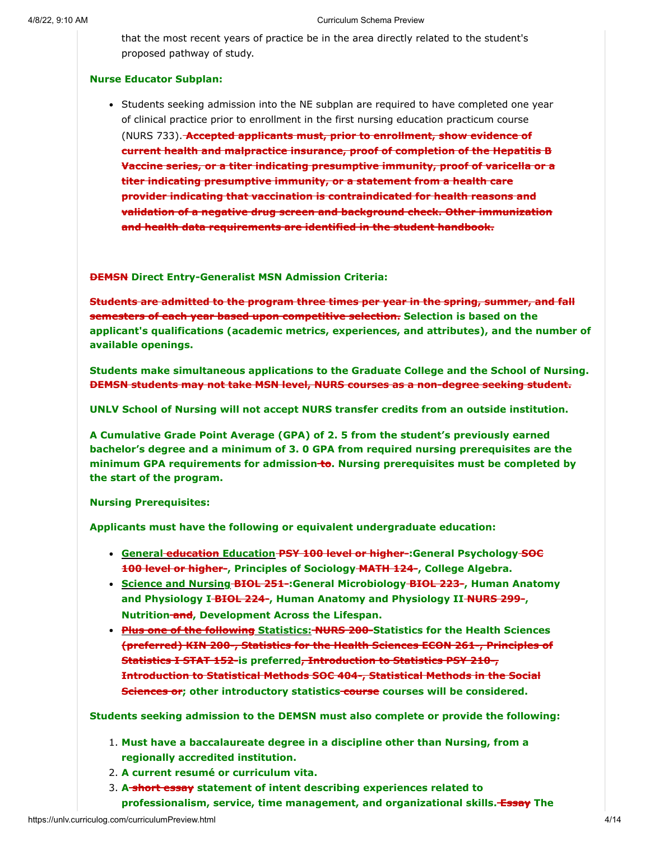that the most recent years of practice be in the area directly related to the student's proposed pathway of study.

#### **Nurse Educator Subplan:**

• Students seeking admission into the NE subplan are required to have completed one year of clinical practice prior to enrollment in the first nursing education practicum course (NURS 733). **Accepted applicants must, prior to enrollment, show evidence of current health and malpractice insurance, proof of completion of the Hepatitis B Vaccine series, or a titer indicating presumptive immunity, proof of varicella or a titer indicating presumptive immunity, or a statement from a health care provider indicating that vaccination is contraindicated for health reasons and validation of a negative drug screen and background check. Other immunization and health data requirements are identified in the student handbook.**

**DEMSN Direct Entry-Generalist MSN Admission Criteria:**

**Students are admitted to the program three times per year in the spring, summer, and fall semesters of each year based upon competitive selection. Selection is based on the applicant's qualifications (academic metrics, experiences, and attributes), and the number of available openings.**

**Students make simultaneous applications to the Graduate College and the School of Nursing. DEMSN students may not take MSN level, NURS courses as a non-degree seeking student.**

**UNLV School of Nursing will not accept NURS transfer credits from an outside institution.**

**A Cumulative Grade Point Average (GPA) of 2. 5 from the student's previously earned bachelor's degree and a minimum of 3. 0 GPA from required nursing prerequisites are the minimum GPA requirements for admission to. Nursing prerequisites must be completed by the start of the program.**

**Nursing Prerequisites:**

**Applicants must have the following or equivalent undergraduate education:**

- **General education Education PSY 100 level or higher-:General Psychology SOC 100 level or higher-, Principles of Sociology MATH 124-, College Algebra.**
- **Science and Nursing BIOL 251-:General Microbiology BIOL 223-, Human Anatomy and Physiology I BIOL 224-, Human Anatomy and Physiology II NURS 299-, Nutrition and, Development Across the Lifespan.**
- **Plus one of the following Statistics: NURS 200-Statistics for the Health Sciences (preferred) KIN 200-, Statistics for the Health Sciences ECON 261-, Principles of Statistics I STAT 152-is preferred, Introduction to Statistics PSY 210-, Introduction to Statistical Methods SOC 404-, Statistical Methods in the Social Sciences or; other introductory statistics course courses will be considered.**

**Students seeking admission to the DEMSN must also complete or provide the following:**

- 1. **Must have a baccalaureate degree in a discipline other than Nursing, from a regionally accredited institution.**
- 2. **A current resumé or curriculum vita.**
- 3. **A short essay statement of intent describing experiences related to professionalism, service, time management, and organizational skills. Essay The**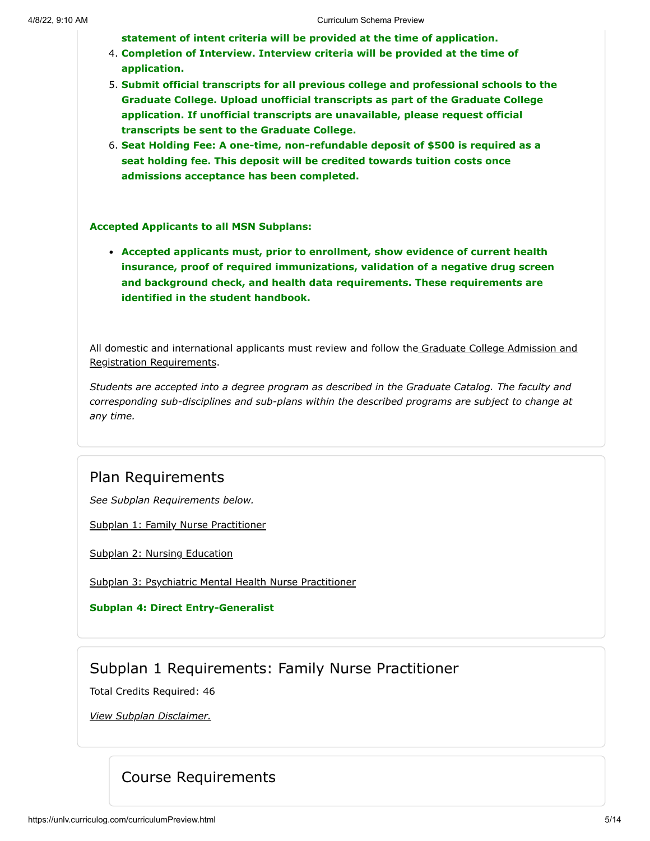**statement of intent criteria will be provided at the time of application.**

- 4. **Completion of Interview. Interview criteria will be provided at the time of application.**
- 5. **Submit official transcripts for all previous college and professional schools to the Graduate College. Upload unofficial transcripts as part of the Graduate College application. If unofficial transcripts are unavailable, please request official transcripts be sent to the Graduate College.**
- 6. **Seat Holding Fee: A one-time, non-refundable deposit of \$500 is required as a seat holding fee. This deposit will be credited towards tuition costs once admissions acceptance has been completed.**

**Accepted Applicants to all MSN Subplans:**

**Accepted applicants must, prior to enrollment, show evidence of current health insurance, proof of required immunizations, validation of a negative drug screen and background check, and health data requirements. These requirements are identified in the student handbook.**

[All domestic and international applicants must review and follow the Graduate College Admission and](http://www.unlv.edu/graduatecollege/futurestudents) Registration Requirements.

*Students are accepted into a degree program as described in the Graduate Catalog. The faculty and corresponding sub-disciplines and sub-plans within the described programs are subject to change at any time.*

### Plan Requirements

*See Subplan Requirements below.*

[Subplan 1: Family Nurse Practitioner](#page-4-0)

[Subplan 2: Nursing Education](#page-6-0)

[Subplan 3: Psychiatric Mental Health Nurse Practitioner](#page-8-0)

**Subplan 4: Direct Entry-Generalist**

## Subplan 1 Requirements: Family Nurse Practitioner

<span id="page-4-0"></span>Total Credits Required: 46

*View Subplan Disclaimer.*

# Course Requirements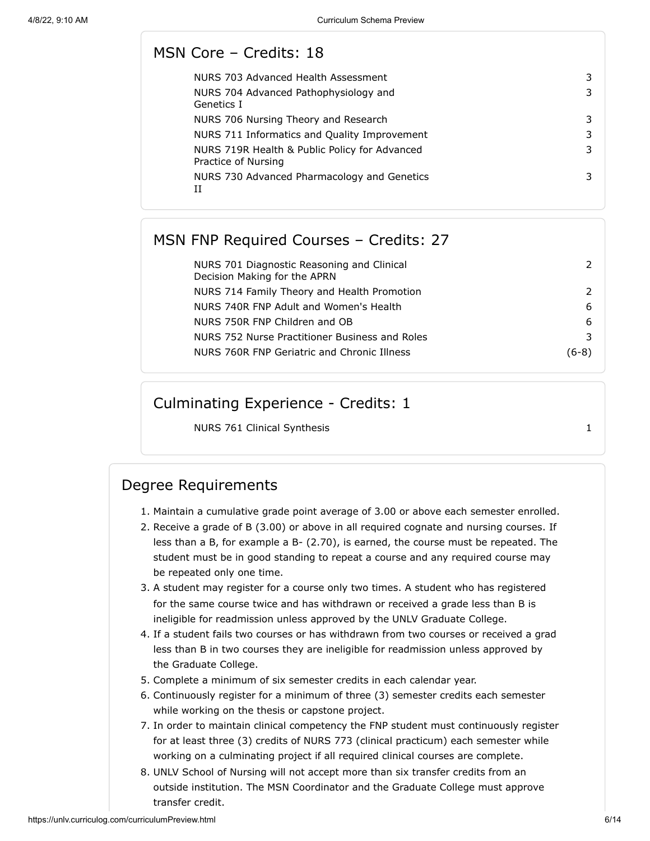## MSN Core – Credits: 18

| NURS 703 Advanced Health Assessment                                  | 3 |
|----------------------------------------------------------------------|---|
| NURS 704 Advanced Pathophysiology and<br>Genetics I                  | 3 |
| NURS 706 Nursing Theory and Research                                 | 3 |
| NURS 711 Informatics and Quality Improvement                         | 3 |
| NURS 719R Health & Public Policy for Advanced<br>Practice of Nursing | 3 |
| NURS 730 Advanced Pharmacology and Genetics                          | 3 |
|                                                                      |   |

# MSN FNP Required Courses – Credits: 27

| NURS 701 Diagnostic Reasoning and Clinical<br>Decision Making for the APRN |       |
|----------------------------------------------------------------------------|-------|
| NURS 714 Family Theory and Health Promotion                                |       |
| NURS 740R FNP Adult and Women's Health                                     | 6     |
| NURS 750R FNP Children and OB                                              | 6     |
| NURS 752 Nurse Practitioner Business and Roles                             | 3     |
| NURS 760R FNP Geriatric and Chronic Illness                                | (6-8) |

# Culminating Experience - Credits: 1

NURS 761 Clinical Synthesis 1

# Degree Requirements

- 1. Maintain a cumulative grade point average of 3.00 or above each semester enrolled.
- 2. Receive a grade of B (3.00) or above in all required cognate and nursing courses. If less than a B, for example a B- (2.70), is earned, the course must be repeated. The student must be in good standing to repeat a course and any required course may be repeated only one time.
- 3. A student may register for a course only two times. A student who has registered for the same course twice and has withdrawn or received a grade less than B is ineligible for readmission unless approved by the UNLV Graduate College.
- 4. If a student fails two courses or has withdrawn from two courses or received a grad less than B in two courses they are ineligible for readmission unless approved by the Graduate College.
- 5. Complete a minimum of six semester credits in each calendar year.
- 6. Continuously register for a minimum of three (3) semester credits each semester while working on the thesis or capstone project.
- 7. In order to maintain clinical competency the FNP student must continuously register for at least three (3) credits of NURS 773 (clinical practicum) each semester while working on a culminating project if all required clinical courses are complete.
- 8. UNLV School of Nursing will not accept more than six transfer credits from an outside institution. The MSN Coordinator and the Graduate College must approve transfer credit.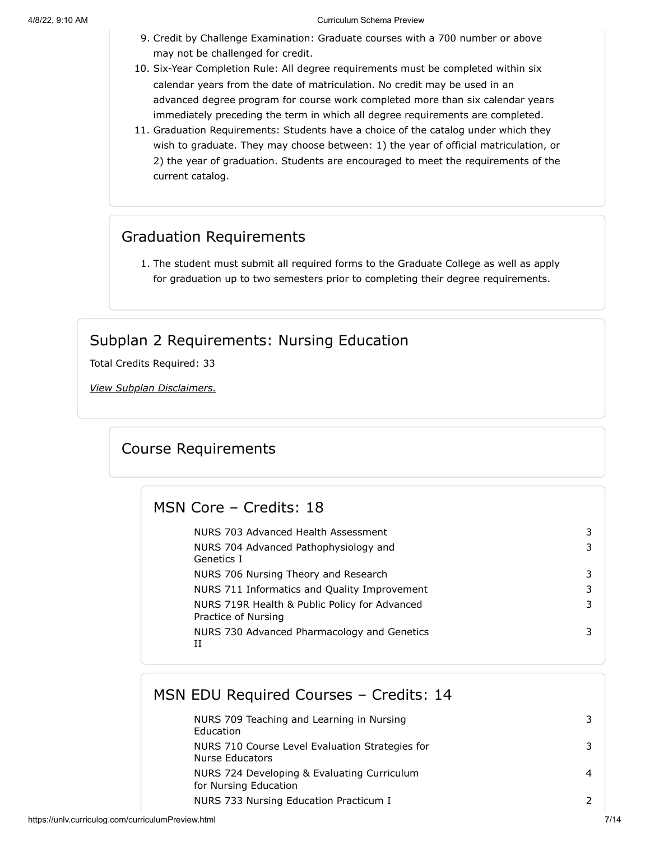- 9. Credit by Challenge Examination: Graduate courses with a 700 number or above may not be challenged for credit.
- 10. Six-Year Completion Rule: All degree requirements must be completed within six calendar years from the date of matriculation. No credit may be used in an advanced degree program for course work completed more than six calendar years immediately preceding the term in which all degree requirements are completed.
- 11. Graduation Requirements: Students have a choice of the catalog under which they wish to graduate. They may choose between: 1) the year of official matriculation, or 2) the year of graduation. Students are encouraged to meet the requirements of the current catalog.

# Graduation Requirements

1. The student must submit all required forms to the Graduate College as well as apply for graduation up to two semesters prior to completing their degree requirements.

# Subplan 2 Requirements: Nursing Education

<span id="page-6-0"></span>Total Credits Required: 33

*View Subplan Disclaimers.*

## Course Requirements

#### MSN Core – Credits: 18

| NURS 703 Advanced Health Assessment<br>NURS 704 Advanced Pathophysiology and<br>Genetics I                                            |  |
|---------------------------------------------------------------------------------------------------------------------------------------|--|
| NURS 706 Nursing Theory and Research<br>NURS 711 Informatics and Quality Improvement<br>NURS 719R Health & Public Policy for Advanced |  |
| Practice of Nursing<br>NURS 730 Advanced Pharmacology and Genetics<br>Н                                                               |  |

## MSN EDU Required Courses – Credits: 14

| NURS 709 Teaching and Learning in Nursing<br>Education               |  |
|----------------------------------------------------------------------|--|
| NURS 710 Course Level Evaluation Strategies for<br>Nurse Educators   |  |
| NURS 724 Developing & Evaluating Curriculum<br>for Nursing Education |  |
| NURS 733 Nursing Education Practicum I                               |  |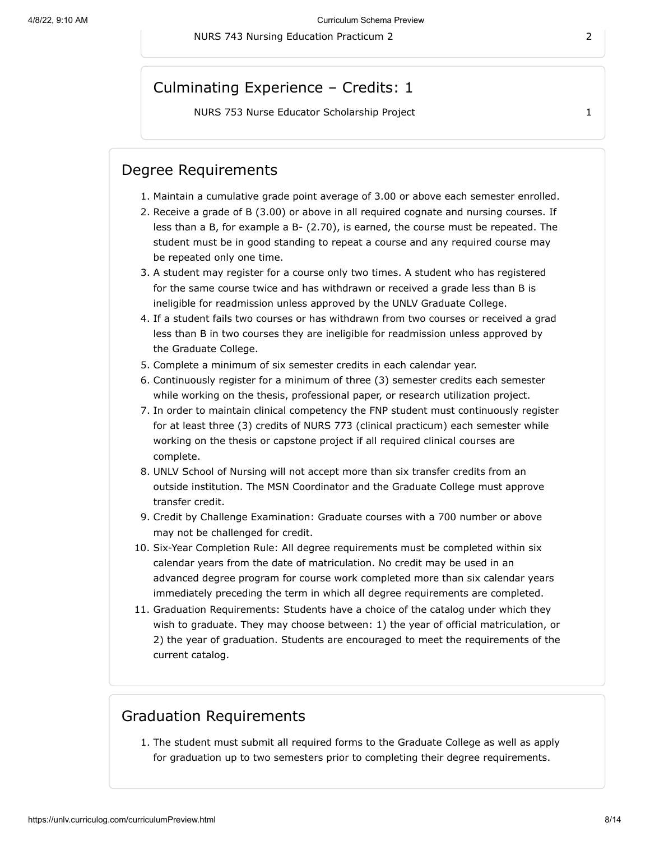## Culminating Experience – Credits: 1

NURS 753 Nurse Educator Scholarship Project 1 1

## Degree Requirements

- 1. Maintain a cumulative grade point average of 3.00 or above each semester enrolled.
- 2. Receive a grade of B (3.00) or above in all required cognate and nursing courses. If less than a B, for example a B- (2.70), is earned, the course must be repeated. The student must be in good standing to repeat a course and any required course may be repeated only one time.
- 3. A student may register for a course only two times. A student who has registered for the same course twice and has withdrawn or received a grade less than B is ineligible for readmission unless approved by the UNLV Graduate College.
- 4. If a student fails two courses or has withdrawn from two courses or received a grad less than B in two courses they are ineligible for readmission unless approved by the Graduate College.
- 5. Complete a minimum of six semester credits in each calendar year.
- 6. Continuously register for a minimum of three (3) semester credits each semester while working on the thesis, professional paper, or research utilization project.
- 7. In order to maintain clinical competency the FNP student must continuously register for at least three (3) credits of NURS 773 (clinical practicum) each semester while working on the thesis or capstone project if all required clinical courses are complete.
- 8. UNLV School of Nursing will not accept more than six transfer credits from an outside institution. The MSN Coordinator and the Graduate College must approve transfer credit.
- 9. Credit by Challenge Examination: Graduate courses with a 700 number or above may not be challenged for credit.
- 10. Six-Year Completion Rule: All degree requirements must be completed within six calendar years from the date of matriculation. No credit may be used in an advanced degree program for course work completed more than six calendar years immediately preceding the term in which all degree requirements are completed.
- 11. Graduation Requirements: Students have a choice of the catalog under which they wish to graduate. They may choose between: 1) the year of official matriculation, or 2) the year of graduation. Students are encouraged to meet the requirements of the current catalog.

#### Graduation Requirements

1. The student must submit all required forms to the Graduate College as well as apply for graduation up to two semesters prior to completing their degree requirements.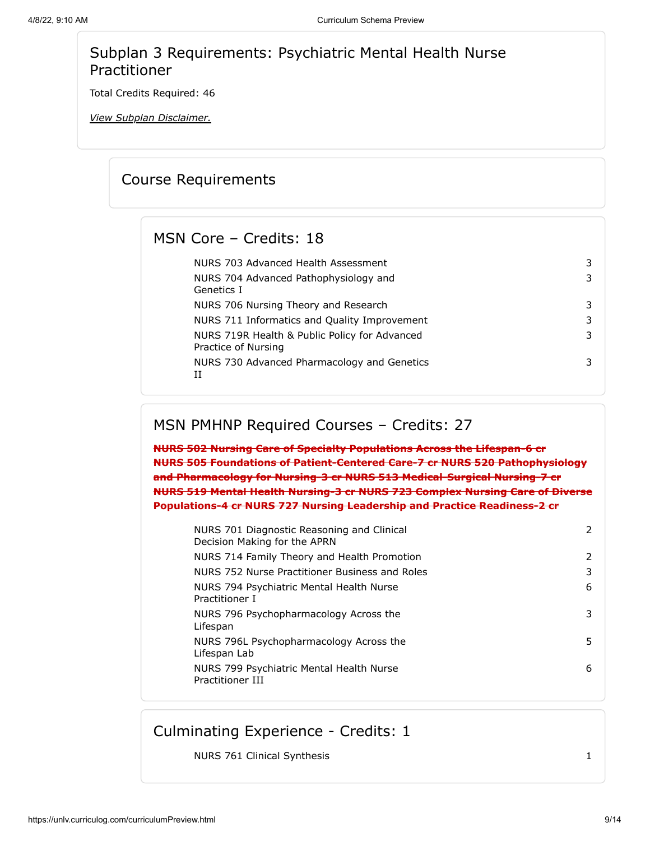# Subplan 3 Requirements: Psychiatric Mental Health Nurse Practitioner

<span id="page-8-0"></span>Total Credits Required: 46

*View Subplan Disclaimer.*

# Course Requirements

## MSN Core – Credits: 18

| NURS 703 Advanced Health Assessment                                  |   |
|----------------------------------------------------------------------|---|
| NURS 704 Advanced Pathophysiology and<br>Genetics I                  | 3 |
| NURS 706 Nursing Theory and Research                                 | 3 |
| NURS 711 Informatics and Quality Improvement                         | 3 |
| NURS 719R Health & Public Policy for Advanced<br>Practice of Nursing | 3 |
| NURS 730 Advanced Pharmacology and Genetics<br>TΤ                    |   |

## MSN PMHNP Required Courses – Credits: 27

**NURS 502 Nursing Care of Specialty Populations Across the Lifespan-6 cr NURS 505 Foundations of Patient-Centered Care-7 cr NURS 520 Pathophysiology and Pharmacology for Nursing-3 cr NURS 513 Medical-Surgical Nursing-7 cr NURS 519 Mental Health Nursing-3 cr NURS 723 Complex Nursing Care of Diverse Populations-4 cr NURS 727 Nursing Leadership and Practice Readiness-2 cr**

| NURS 701 Diagnostic Reasoning and Clinical<br>Decision Making for the APRN | 2  |
|----------------------------------------------------------------------------|----|
| NURS 714 Family Theory and Health Promotion                                | 2  |
| NURS 752 Nurse Practitioner Business and Roles                             | 3  |
| NURS 794 Psychiatric Mental Health Nurse<br>Practitioner I                 | 6  |
| NURS 796 Psychopharmacology Across the<br>Lifespan                         | 3  |
| NURS 796L Psychopharmacology Across the<br>Lifespan Lab                    | 5. |
| NURS 799 Psychiatric Mental Health Nurse<br>Practitioner III               | 6  |
|                                                                            |    |

# Culminating Experience - Credits: 1

NURS 761 Clinical Synthesis 1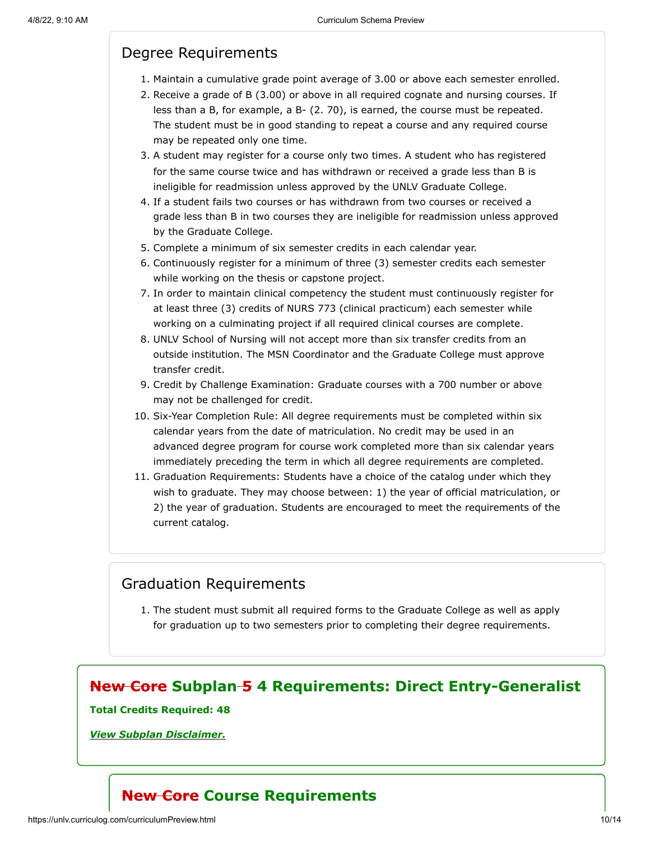# Degree Requirements

- 1. Maintain a cumulative grade point average of 3.00 or above each semester enrolled.
- 2. Receive a grade of B (3.00) or above in all required cognate and nursing courses. If less than a B, for example, a B- (2. 70), is earned, the course must be repeated. The student must be in good standing to repeat a course and any required course may be repeated only one time.
- 3. A student may register for a course only two times. A student who has registered for the same course twice and has withdrawn or received a grade less than B is ineligible for readmission unless approved by the UNLV Graduate College.
- 4. If a student fails two courses or has withdrawn from two courses or received a grade less than B in two courses they are ineligible for readmission unless approved by the Graduate College.
- 5. Complete a minimum of six semester credits in each calendar year.
- 6. Continuously register for a minimum of three (3) semester credits each semester while working on the thesis or capstone project.
- 7. In order to maintain clinical competency the student must continuously register for at least three (3) credits of NURS 773 (clinical practicum) each semester while working on a culminating project if all required clinical courses are complete.
- 8. UNLV School of Nursing will not accept more than six transfer credits from an outside institution. The MSN Coordinator and the Graduate College must approve transfer credit.
- 9. Credit by Challenge Examination: Graduate courses with a 700 number or above may not be challenged for credit.
- 10. Six-Year Completion Rule: All degree requirements must be completed within six calendar years from the date of matriculation. No credit may be used in an advanced degree program for course work completed more than six calendar years immediately preceding the term in which all degree requirements are completed.
- 11. Graduation Requirements: Students have a choice of the catalog under which they wish to graduate. They may choose between: 1) the year of official matriculation, or 2) the year of graduation. Students are encouraged to meet the requirements of the current catalog.

## Graduation Requirements

1. The student must submit all required forms to the Graduate College as well as apply for graduation up to two semesters prior to completing their degree requirements.

# **New Core Subplan 5 4 Requirements: Direct Entry-Generalist**

#### **Total Credits Required: 48**

*View Subplan Disclaimer.*

# **New Core Course Requirements**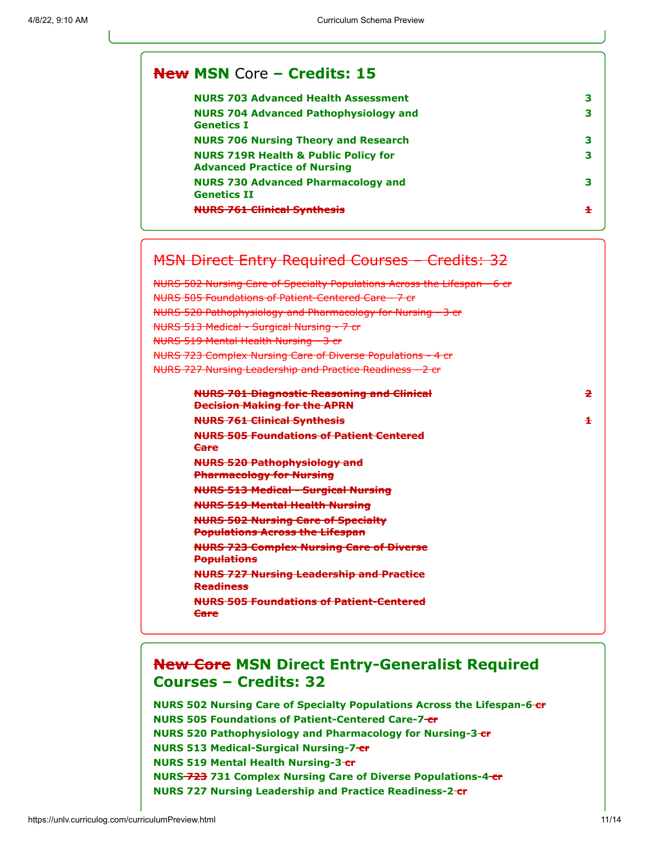#### **New MSN** Core **– Credits: 15**

| <b>NURS 703 Advanced Health Assessment</b>                                             | з |
|----------------------------------------------------------------------------------------|---|
| <b>NURS 704 Advanced Pathophysiology and</b><br><b>Genetics I</b>                      | з |
| <b>NURS 706 Nursing Theory and Research</b>                                            | з |
| <b>NURS 719R Health &amp; Public Policy for</b><br><b>Advanced Practice of Nursing</b> | з |
| <b>NURS 730 Advanced Pharmacology and</b><br><b>Genetics II</b>                        | з |
| <del>NURS 761 Clinical Synthesis</del>                                                 | ÷ |

# MSN Direct Entry Required Courses – Credits: 32

NURS 502 Nursing Care of Specialty Populations Across the Lifespan - 6 cr NURS 505 Foundations of Patient-Centered Care - 7 cr NURS 520 Pathophysiology and Pharmacology for Nursing - 3 cr NURS 513 Medical - Surgical Nursing - 7 cr NURS 519 Mental Health Nursing - 3 cr NURS 723 Complex Nursing Care of Diverse Populations - 4 cr NURS 727 Nursing Leadership and Practice Readiness - 2 cr

| <b>NURS 701 Diagnostic Reasoning and Clinical</b><br><b>Decision Making for the APRN</b> | 2 |
|------------------------------------------------------------------------------------------|---|
| <b>NURS 761 Clinical Synthesis</b>                                                       | £ |
| <b>NURS 505 Foundations of Patient Centered</b><br><u>Care</u>                           |   |
| <b>NURS 520 Pathophysiology and</b><br><b>Pharmacology for Nursing</b>                   |   |
| <b>NURS 513 Medical - Surgical Nursing</b>                                               |   |
| <b>NURS 519 Mental Health Nursing</b>                                                    |   |
| <b>NURS 502 Nursing Care of Specialty</b><br><b>Populations Across the Lifespan</b>      |   |
| <b>NURS 723 Complex Nursing Care of Diverse</b><br><b>Populations</b>                    |   |
| <b>NURS 727 Nursing Leadership and Practice</b><br><b>Readiness</b>                      |   |
| <b>NURS 505 Foundations of Patient-Centered</b><br><b>Care</b>                           |   |
|                                                                                          |   |

# **New Core MSN Direct Entry-Generalist Required Courses – Credits: 32**

**NURS 502 Nursing Care of Specialty Populations Across the Lifespan-6-cr NURS 505 Foundations of Patient-Centered Care-7 cr NURS 520 Pathophysiology and Pharmacology for Nursing-3 cr NURS 513 Medical-Surgical Nursing-7 cr NURS 519 Mental Health Nursing-3-cr NURS 723 731 Complex Nursing Care of Diverse Populations-4 cr NURS 727 Nursing Leadership and Practice Readiness-2 cr**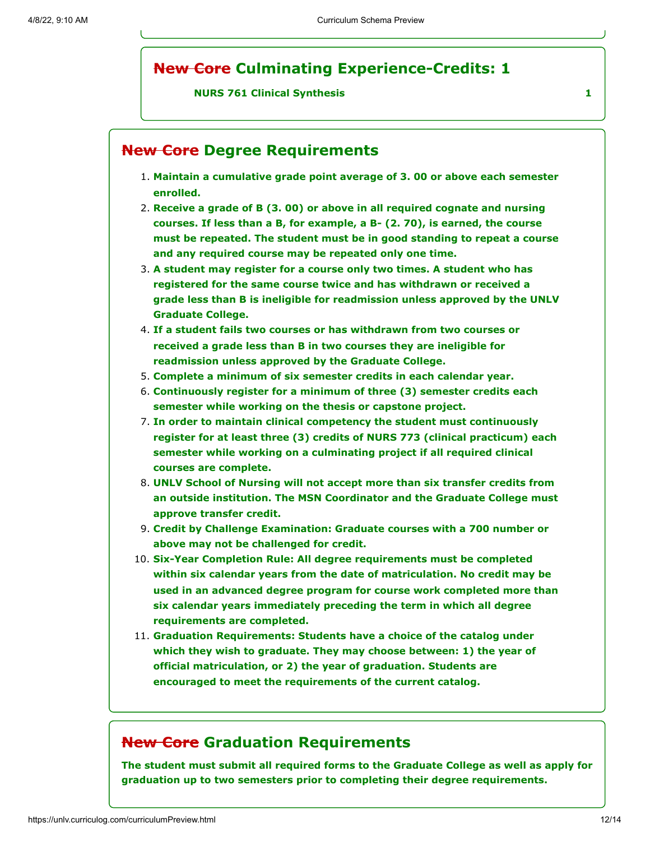# **New Core Culminating Experience-Credits: 1**

#### **NURS 761 Clinical Synthesis 1**

## **New Core Degree Requirements**

- 1. **Maintain a cumulative grade point average of 3. 00 or above each semester enrolled.**
- 2. **Receive a grade of B (3. 00) or above in all required cognate and nursing courses. If less than a B, for example, a B- (2. 70), is earned, the course must be repeated. The student must be in good standing to repeat a course and any required course may be repeated only one time.**
- 3. **A student may register for a course only two times. A student who has registered for the same course twice and has withdrawn or received a grade less than B is ineligible for readmission unless approved by the UNLV Graduate College.**
- 4. **If a student fails two courses or has withdrawn from two courses or received a grade less than B in two courses they are ineligible for readmission unless approved by the Graduate College.**
- 5. **Complete a minimum of six semester credits in each calendar year.**
- 6. **Continuously register for a minimum of three (3) semester credits each semester while working on the thesis or capstone project.**
- 7. **In order to maintain clinical competency the student must continuously register for at least three (3) credits of NURS 773 (clinical practicum) each semester while working on a culminating project if all required clinical courses are complete.**
- 8. **UNLV School of Nursing will not accept more than six transfer credits from an outside institution. The MSN Coordinator and the Graduate College must approve transfer credit.**
- 9. **Credit by Challenge Examination: Graduate courses with a 700 number or above may not be challenged for credit.**
- 10. **Six-Year Completion Rule: All degree requirements must be completed within six calendar years from the date of matriculation. No credit may be used in an advanced degree program for course work completed more than six calendar years immediately preceding the term in which all degree requirements are completed.**
- 11. **Graduation Requirements: Students have a choice of the catalog under which they wish to graduate. They may choose between: 1) the year of official matriculation, or 2) the year of graduation. Students are encouraged to meet the requirements of the current catalog.**

#### **New Core Graduation Requirements**

**The student must submit all required forms to the Graduate College as well as apply for graduation up to two semesters prior to completing their degree requirements.**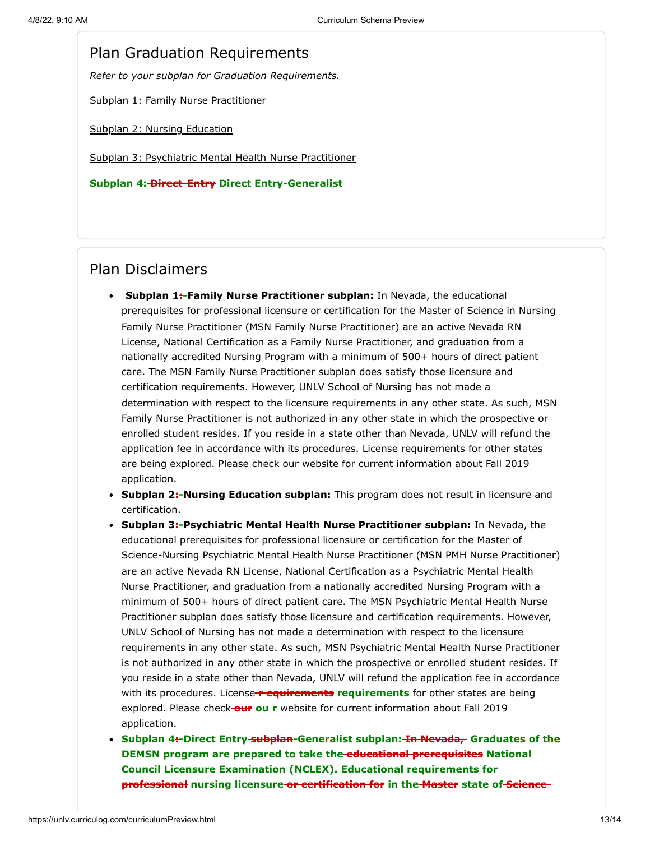#### Plan Graduation Requirements

*Refer to your subplan for Graduation Requirements.*

[Subplan 1: Family Nurse Practitioner](#page-4-0)

[Subplan 2: Nursing Education](#page-6-0)

[Subplan 3: Psychiatric Mental Health Nurse Practitioner](#page-8-0)

**Subplan 4: Direct-Entry Direct Entry-Generalist**

#### Plan Disclaimers

- **Subplan 1:-Family Nurse Practitioner subplan:** In Nevada, the educational prerequisites for professional licensure or certification for the Master of Science in Nursing Family Nurse Practitioner (MSN Family Nurse Practitioner) are an active Nevada RN License, National Certification as a Family Nurse Practitioner, and graduation from a nationally accredited Nursing Program with a minimum of 500+ hours of direct patient care. The MSN Family Nurse Practitioner subplan does satisfy those licensure and certification requirements. However, UNLV School of Nursing has not made a determination with respect to the licensure requirements in any other state. As such, MSN Family Nurse Practitioner is not authorized in any other state in which the prospective or enrolled student resides. If you reside in a state other than Nevada, UNLV will refund the application fee in accordance with its procedures. License requirements for other states are being explored. Please check our website for current information about Fall 2019 application.
- **Subplan 2:-Nursing Education subplan:** This program does not result in licensure and certification.
- **Subplan 3:-Psychiatric Mental Health Nurse Practitioner subplan:** In Nevada, the educational prerequisites for professional licensure or certification for the Master of Science-Nursing Psychiatric Mental Health Nurse Practitioner (MSN PMH Nurse Practitioner) are an active Nevada RN License, National Certification as a Psychiatric Mental Health Nurse Practitioner, and graduation from a nationally accredited Nursing Program with a minimum of 500+ hours of direct patient care. The MSN Psychiatric Mental Health Nurse Practitioner subplan does satisfy those licensure and certification requirements. However, UNLV School of Nursing has not made a determination with respect to the licensure requirements in any other state. As such, MSN Psychiatric Mental Health Nurse Practitioner is not authorized in any other state in which the prospective or enrolled student resides. If you reside in a state other than Nevada, UNLV will refund the application fee in accordance with its procedures. License **r equirements requirements** for other states are being explored. Please check **our ou r** website for current information about Fall 2019 application.
- **Subplan 4:-Direct Entry subplan-Generalist subplan: <del>In Nevada,</del> Graduates of the DEMSN program are prepared to take the educational prerequisites National Council Licensure Examination (NCLEX). Educational requirements for professional nursing licensure or certification for in the Master state of Science-**